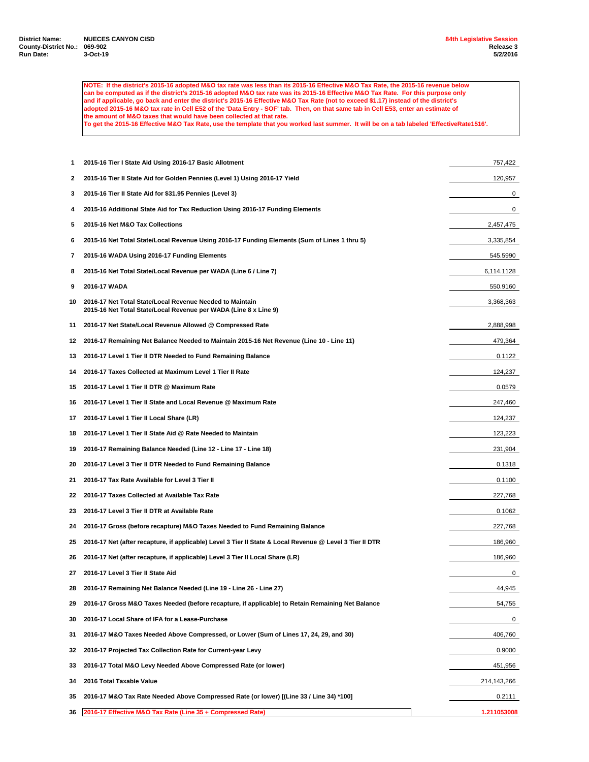**NOTE: If the district's 2015-16 adopted M&O tax rate was less than its 2015-16 Effective M&O Tax Rate, the 2015-16 revenue below can be computed as if the district's 2015-16 adopted M&O tax rate was its 2015-16 Effective M&O Tax Rate. For this purpose only and if applicable, go back and enter the district's 2015-16 Effective M&O Tax Rate (not to exceed \$1.17) instead of the district's adopted 2015-16 M&O tax rate in Cell E52 of the 'Data Entry - SOF' tab. Then, on that same tab in Cell E53, enter an estimate of the amount of M&O taxes that would have been collected at that rate.**

**To get the 2015-16 Effective M&O Tax Rate, use the template that you worked last summer. It will be on a tab labeled 'EffectiveRate1516'.**

| 1  | 2015-16 Tier I State Aid Using 2016-17 Basic Allotment                                                                       | 757,422     |
|----|------------------------------------------------------------------------------------------------------------------------------|-------------|
| 2  | 2015-16 Tier II State Aid for Golden Pennies (Level 1) Using 2016-17 Yield                                                   | 120,957     |
| 3  | 2015-16 Tier II State Aid for \$31.95 Pennies (Level 3)                                                                      | 0           |
| 4  | 2015-16 Additional State Aid for Tax Reduction Using 2016-17 Funding Elements                                                | 0           |
| 5  | 2015-16 Net M&O Tax Collections                                                                                              | 2,457,475   |
| 6  | 2015-16 Net Total State/Local Revenue Using 2016-17 Funding Elements (Sum of Lines 1 thru 5)                                 | 3,335,854   |
| 7  | 2015-16 WADA Using 2016-17 Funding Elements                                                                                  | 545.5990    |
| 8  | 2015-16 Net Total State/Local Revenue per WADA (Line 6 / Line 7)                                                             | 6,114.1128  |
| 9  | 2016-17 WADA                                                                                                                 | 550.9160    |
| 10 | 2016-17 Net Total State/Local Revenue Needed to Maintain<br>2015-16 Net Total State/Local Revenue per WADA (Line 8 x Line 9) | 3,368,363   |
| 11 | 2016-17 Net State/Local Revenue Allowed @ Compressed Rate                                                                    | 2,888,998   |
| 12 | 2016-17 Remaining Net Balance Needed to Maintain 2015-16 Net Revenue (Line 10 - Line 11)                                     | 479,364     |
| 13 | 2016-17 Level 1 Tier II DTR Needed to Fund Remaining Balance                                                                 | 0.1122      |
| 14 | 2016-17 Taxes Collected at Maximum Level 1 Tier II Rate                                                                      | 124,237     |
| 15 | 2016-17 Level 1 Tier II DTR @ Maximum Rate                                                                                   | 0.0579      |
| 16 | 2016-17 Level 1 Tier II State and Local Revenue @ Maximum Rate                                                               | 247,460     |
| 17 | 2016-17 Level 1 Tier II Local Share (LR)                                                                                     | 124,237     |
| 18 | 2016-17 Level 1 Tier II State Aid @ Rate Needed to Maintain                                                                  | 123,223     |
| 19 | 2016-17 Remaining Balance Needed (Line 12 - Line 17 - Line 18)                                                               | 231,904     |
| 20 | 2016-17 Level 3 Tier II DTR Needed to Fund Remaining Balance                                                                 | 0.1318      |
| 21 | 2016-17 Tax Rate Available for Level 3 Tier II                                                                               | 0.1100      |
| 22 | 2016-17 Taxes Collected at Available Tax Rate                                                                                | 227,768     |
| 23 | 2016-17 Level 3 Tier II DTR at Available Rate                                                                                | 0.1062      |
| 24 | 2016-17 Gross (before recapture) M&O Taxes Needed to Fund Remaining Balance                                                  | 227,768     |
| 25 | 2016-17 Net (after recapture, if applicable) Level 3 Tier II State & Local Revenue @ Level 3 Tier II DTR                     | 186,960     |
| 26 | 2016-17 Net (after recapture, if applicable) Level 3 Tier II Local Share (LR)                                                | 186,960     |
| 27 | 2016-17 Level 3 Tier II State Aid                                                                                            | 0           |
| 28 | 2016-17 Remaining Net Balance Needed (Line 19 - Line 26 - Line 27)                                                           | 44,945      |
| 29 | 2016-17 Gross M&O Taxes Needed (before recapture, if applicable) to Retain Remaining Net Balance                             | 54,755      |
| 30 | 2016-17 Local Share of IFA for a Lease-Purchase                                                                              | 0           |
| 31 | 2016-17 M&O Taxes Needed Above Compressed, or Lower (Sum of Lines 17, 24, 29, and 30)                                        | 406,760     |
| 32 | 2016-17 Projected Tax Collection Rate for Current-year Levy                                                                  | 0.9000      |
| 33 | 2016-17 Total M&O Levy Needed Above Compressed Rate (or lower)                                                               | 451,956     |
| 34 | 2016 Total Taxable Value                                                                                                     | 214,143,266 |
| 35 | 2016-17 M&O Tax Rate Needed Above Compressed Rate (or lower) [(Line 33 / Line 34) *100]                                      | 0.2111      |
| 36 | 2016-17 Effective M&O Tax Rate (Line 35 + Compressed Rate)                                                                   | 1.211053008 |